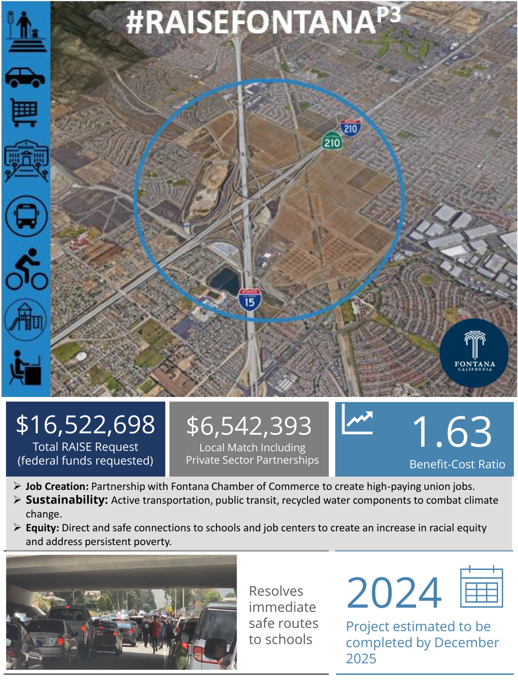

## \$16,522,698 Total RAISE Request

(federal funds requested)

## \$6,542,393 Local Match Including

Private Sector Partnerships

1.63 Benefit-Cost Ratio

- ➢ **Job Creation:** Partnership with Fontana Chamber of Commerce to create high-paying union jobs.
- ➢ **Sustainability:** Active transportation, public transit, recycled water components to combat climate change.
- ➢ **Equity:** Direct and safe connections to schools and job centers to create an increase in racial equity and address persistent poverty.



Resolves immediate safe routes to schools



Project estimated to be completed by December 2025